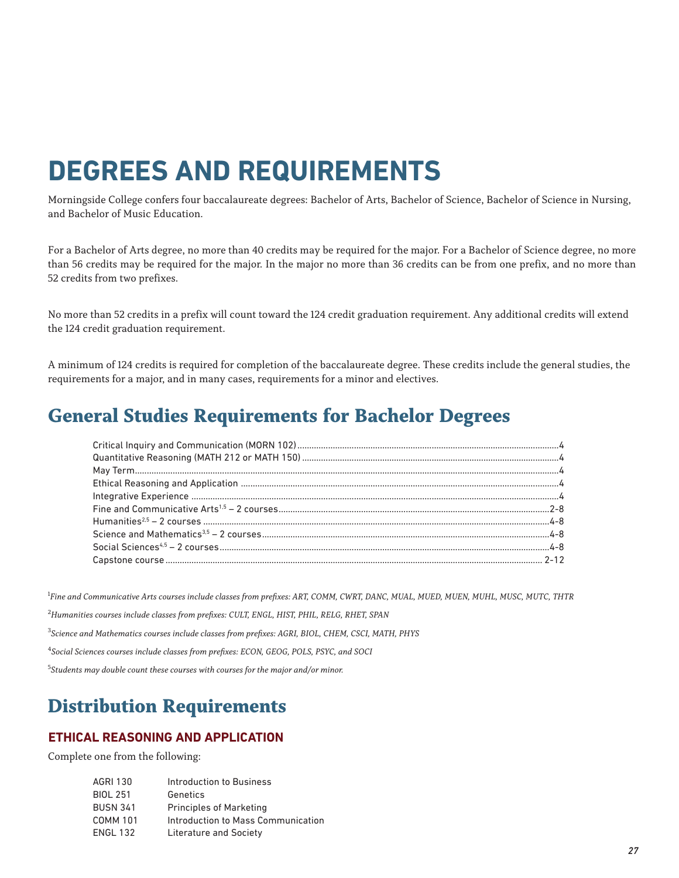# **DEGREES AND REQUIREMENTS**

Morningside College confers four baccalaureate degrees: Bachelor of Arts, Bachelor of Science, Bachelor of Science in Nursing, and Bachelor of Music Education.

For a Bachelor of Arts degree, no more than 40 credits may be required for the major. For a Bachelor of Science degree, no more than 56 credits may be required for the major. In the major no more than 36 credits can be from one prefix, and no more than 52 credits from two prefixes.

No more than 52 credits in a prefix will count toward the 124 credit graduation requirement. Any additional credits will extend the 124 credit graduation requirement.

A minimum of 124 credits is required for completion of the baccalaureate degree. These credits include the general studies, the requirements for a major, and in many cases, requirements for a minor and electives.

### **General Studies Requirements for Bachelor Degrees**

<sup>1</sup> Fine and Communicative Arts courses include classes from prefixes: ART, COMM, CWRT, DANC, MUAL, MUED, MUEN, MUHL, MUSC, MUTC, THTR

2 *Humanities courses include classes from prefixes: CULT, ENGL, HIST, PHIL, RELG, RHET, SPAN*

3 *Science and Mathematics courses include classes from prefixes: AGRI, BIOL, CHEM, CSCI, MATH, PHYS*

4 *Social Sciences courses include classes from prefixes: ECON, GEOG, POLS, PSYC, and SOCI*

5 *Students may double count these courses with courses for the major and/or minor.* 

### **Distribution Requirements**

#### **ETHICAL REASONING AND APPLICATION**

Complete one from the following:

| AGRI 130        | Introduction to Business           |
|-----------------|------------------------------------|
| <b>BIOL 251</b> | Genetics                           |
| <b>BUSN 341</b> | <b>Principles of Marketing</b>     |
| <b>COMM 101</b> | Introduction to Mass Communication |
| <b>ENGL 132</b> | Literature and Society             |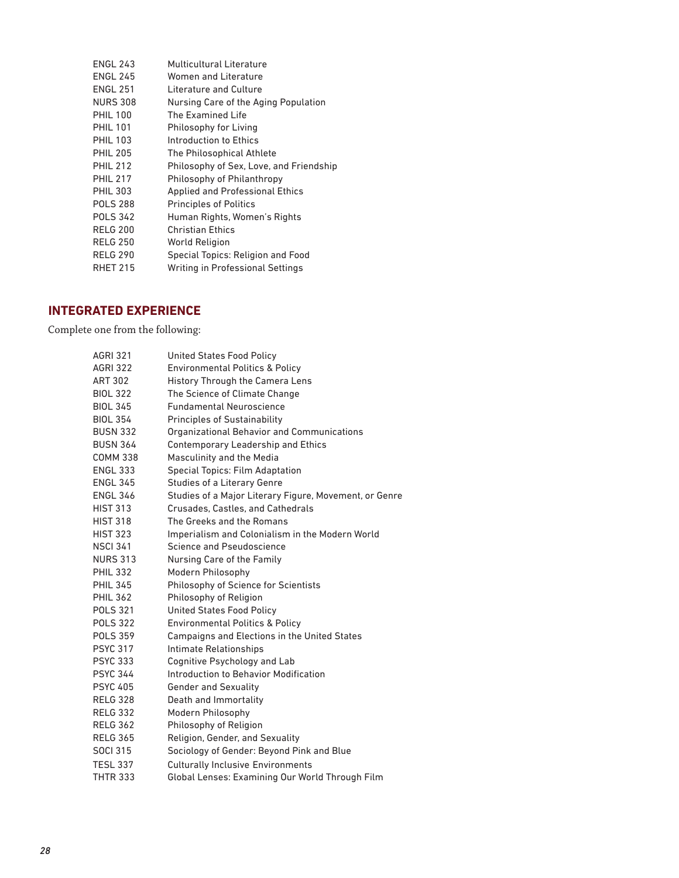| <b>ENGL 243</b> | Multicultural Literature                |
|-----------------|-----------------------------------------|
| <b>ENGL 245</b> | Women and Literature                    |
| <b>ENGL 251</b> | Literature and Culture                  |
| <b>NURS 308</b> | Nursing Care of the Aging Population    |
| <b>PHIL 100</b> | The Examined Life                       |
| <b>PHIL 101</b> | Philosophy for Living                   |
| <b>PHIL 103</b> | Introduction to Ethics                  |
| <b>PHIL 205</b> | The Philosophical Athlete               |
| <b>PHIL 212</b> | Philosophy of Sex, Love, and Friendship |
| <b>PHIL 217</b> | Philosophy of Philanthropy              |
| <b>PHIL 303</b> | <b>Applied and Professional Ethics</b>  |
| <b>POLS 288</b> | <b>Principles of Politics</b>           |
| <b>POLS 342</b> | Human Rights, Women's Rights            |
| <b>RELG 200</b> | <b>Christian Ethics</b>                 |
| <b>RELG 250</b> | World Religion                          |
| <b>RELG 290</b> | Special Topics: Religion and Food       |
| <b>RHET 215</b> | Writing in Professional Settings        |
|                 |                                         |

### **INTEGRATED EXPERIENCE**

Complete one from the following:

| <b>AGRI 321</b> | <b>United States Food Policy</b>                       |
|-----------------|--------------------------------------------------------|
| <b>AGRI 322</b> | <b>Environmental Politics &amp; Policy</b>             |
| <b>ART 302</b>  | <b>History Through the Camera Lens</b>                 |
| <b>BIOL 322</b> | The Science of Climate Change                          |
| <b>BIOL 345</b> | <b>Fundamental Neuroscience</b>                        |
| <b>BIOL 354</b> | <b>Principles of Sustainability</b>                    |
| <b>BUSN 332</b> | Organizational Behavior and Communications             |
| <b>BUSN 364</b> | Contemporary Leadership and Ethics                     |
| <b>COMM 338</b> | Masculinity and the Media                              |
| <b>ENGL 333</b> | <b>Special Topics: Film Adaptation</b>                 |
| <b>ENGL 345</b> | Studies of a Literary Genre                            |
| <b>ENGL 346</b> | Studies of a Major Literary Figure, Movement, or Genre |
| <b>HIST 313</b> | Crusades, Castles, and Cathedrals                      |
| <b>HIST 318</b> | The Greeks and the Romans                              |
| <b>HIST 323</b> | Imperialism and Colonialism in the Modern World        |
| <b>NSCI 341</b> | Science and Pseudoscience                              |
| <b>NURS 313</b> | Nursing Care of the Family                             |
| <b>PHIL 332</b> | Modern Philosophy                                      |
| <b>PHIL 345</b> | Philosophy of Science for Scientists                   |
| <b>PHIL 362</b> | Philosophy of Religion                                 |
| <b>POLS 321</b> | <b>United States Food Policy</b>                       |
| <b>POLS 322</b> | <b>Environmental Politics &amp; Policy</b>             |
| <b>POLS 359</b> | Campaigns and Elections in the United States           |
| <b>PSYC 317</b> | Intimate Relationships                                 |
| <b>PSYC 333</b> | Cognitive Psychology and Lab                           |
| <b>PSYC 344</b> | Introduction to Behavior Modification                  |
| <b>PSYC 405</b> | <b>Gender and Sexuality</b>                            |
| <b>RELG 328</b> | Death and Immortality                                  |
| <b>RELG 332</b> | Modern Philosophy                                      |
| <b>RELG 362</b> | Philosophy of Religion                                 |
| <b>RELG 365</b> | Religion, Gender, and Sexuality                        |
| <b>SOCI 315</b> | Sociology of Gender: Beyond Pink and Blue              |
| <b>TESL 337</b> | <b>Culturally Inclusive Environments</b>               |
| <b>THTR 333</b> | Global Lenses: Examining Our World Through Film        |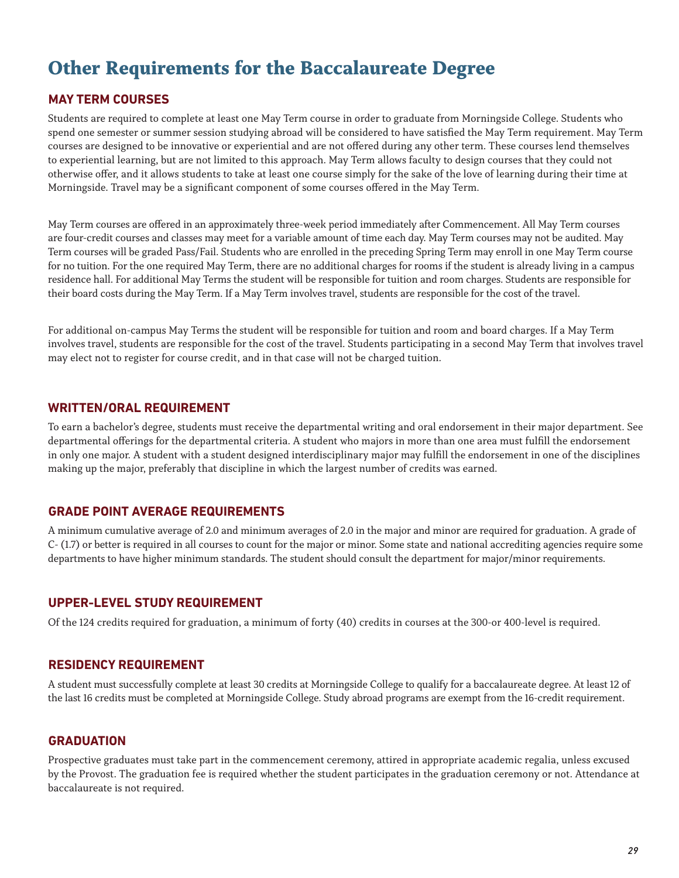# **Other Requirements for the Baccalaureate Degree**

#### **MAY TERM COURSES**

Students are required to complete at least one May Term course in order to graduate from Morningside College. Students who spend one semester or summer session studying abroad will be considered to have satisfied the May Term requirement. May Term courses are designed to be innovative or experiential and are not offered during any other term. These courses lend themselves to experiential learning, but are not limited to this approach. May Term allows faculty to design courses that they could not otherwise offer, and it allows students to take at least one course simply for the sake of the love of learning during their time at Morningside. Travel may be a significant component of some courses offered in the May Term.

May Term courses are offered in an approximately three-week period immediately after Commencement. All May Term courses are four-credit courses and classes may meet for a variable amount of time each day. May Term courses may not be audited. May Term courses will be graded Pass/Fail. Students who are enrolled in the preceding Spring Term may enroll in one May Term course for no tuition. For the one required May Term, there are no additional charges for rooms if the student is already living in a campus residence hall. For additional May Terms the student will be responsible for tuition and room charges. Students are responsible for their board costs during the May Term. If a May Term involves travel, students are responsible for the cost of the travel.

For additional on-campus May Terms the student will be responsible for tuition and room and board charges. If a May Term involves travel, students are responsible for the cost of the travel. Students participating in a second May Term that involves travel may elect not to register for course credit, and in that case will not be charged tuition.

#### **WRITTEN/ORAL REQUIREMENT**

To earn a bachelor's degree, students must receive the departmental writing and oral endorsement in their major department. See departmental offerings for the departmental criteria. A student who majors in more than one area must fulfill the endorsement in only one major. A student with a student designed interdisciplinary major may fulfill the endorsement in one of the disciplines making up the major, preferably that discipline in which the largest number of credits was earned.

#### **GRADE POINT AVERAGE REQUIREMENTS**

A minimum cumulative average of 2.0 and minimum averages of 2.0 in the major and minor are required for graduation. A grade of C- (1.7) or better is required in all courses to count for the major or minor. Some state and national accrediting agencies require some departments to have higher minimum standards. The student should consult the department for major/minor requirements.

#### **UPPER-LEVEL STUDY REQUIREMENT**

Of the 124 credits required for graduation, a minimum of forty (40) credits in courses at the 300-or 400-level is required.

#### **RESIDENCY REQUIREMENT**

A student must successfully complete at least 30 credits at Morningside College to qualify for a baccalaureate degree. At least 12 of the last 16 credits must be completed at Morningside College. Study abroad programs are exempt from the 16-credit requirement.

#### **GRADUATION**

Prospective graduates must take part in the commencement ceremony, attired in appropriate academic regalia, unless excused by the Provost. The graduation fee is required whether the student participates in the graduation ceremony or not. Attendance at baccalaureate is not required.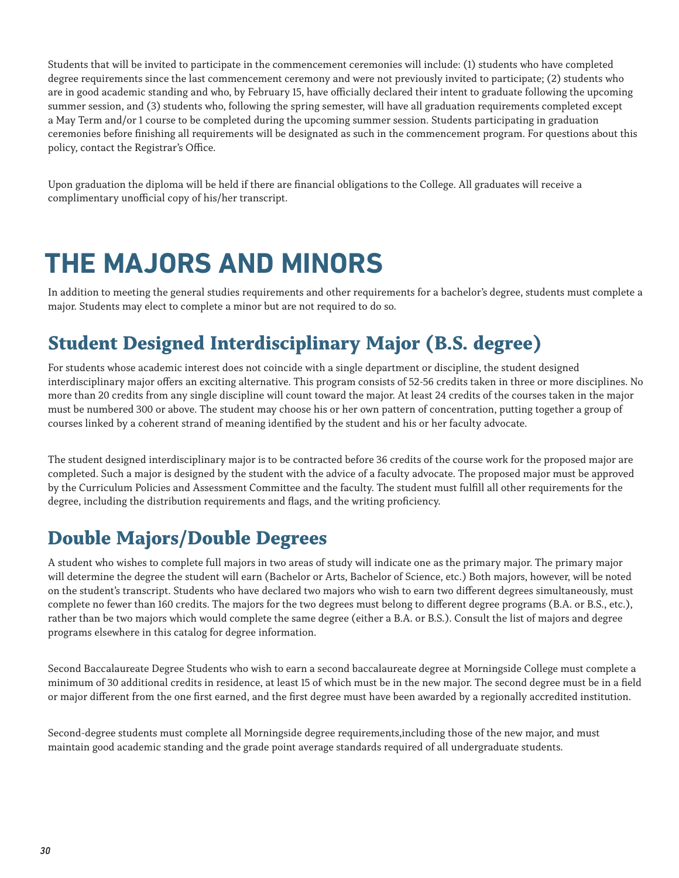Students that will be invited to participate in the commencement ceremonies will include: (1) students who have completed degree requirements since the last commencement ceremony and were not previously invited to participate; (2) students who are in good academic standing and who, by February 15, have officially declared their intent to graduate following the upcoming summer session, and (3) students who, following the spring semester, will have all graduation requirements completed except a May Term and/or 1 course to be completed during the upcoming summer session. Students participating in graduation ceremonies before finishing all requirements will be designated as such in the commencement program. For questions about this policy, contact the Registrar's Office.

Upon graduation the diploma will be held if there are financial obligations to the College. All graduates will receive a complimentary unofficial copy of his/her transcript.

# **THE MAJORS AND MINORS**

In addition to meeting the general studies requirements and other requirements for a bachelor's degree, students must complete a major. Students may elect to complete a minor but are not required to do so.

# **Student Designed Interdisciplinary Major (B.S. degree)**

For students whose academic interest does not coincide with a single department or discipline, the student designed interdisciplinary major offers an exciting alternative. This program consists of 52-56 credits taken in three or more disciplines. No more than 20 credits from any single discipline will count toward the major. At least 24 credits of the courses taken in the major must be numbered 300 or above. The student may choose his or her own pattern of concentration, putting together a group of courses linked by a coherent strand of meaning identified by the student and his or her faculty advocate.

The student designed interdisciplinary major is to be contracted before 36 credits of the course work for the proposed major are completed. Such a major is designed by the student with the advice of a faculty advocate. The proposed major must be approved by the Curriculum Policies and Assessment Committee and the faculty. The student must fulfill all other requirements for the degree, including the distribution requirements and flags, and the writing proficiency.

### **Double Majors/Double Degrees**

A student who wishes to complete full majors in two areas of study will indicate one as the primary major. The primary major will determine the degree the student will earn (Bachelor or Arts, Bachelor of Science, etc.) Both majors, however, will be noted on the student's transcript. Students who have declared two majors who wish to earn two different degrees simultaneously, must complete no fewer than 160 credits. The majors for the two degrees must belong to different degree programs (B.A. or B.S., etc.), rather than be two majors which would complete the same degree (either a B.A. or B.S.). Consult the list of majors and degree programs elsewhere in this catalog for degree information.

Second Baccalaureate Degree Students who wish to earn a second baccalaureate degree at Morningside College must complete a minimum of 30 additional credits in residence, at least 15 of which must be in the new major. The second degree must be in a field or major different from the one first earned, and the first degree must have been awarded by a regionally accredited institution.

Second-degree students must complete all Morningside degree requirements,including those of the new major, and must maintain good academic standing and the grade point average standards required of all undergraduate students.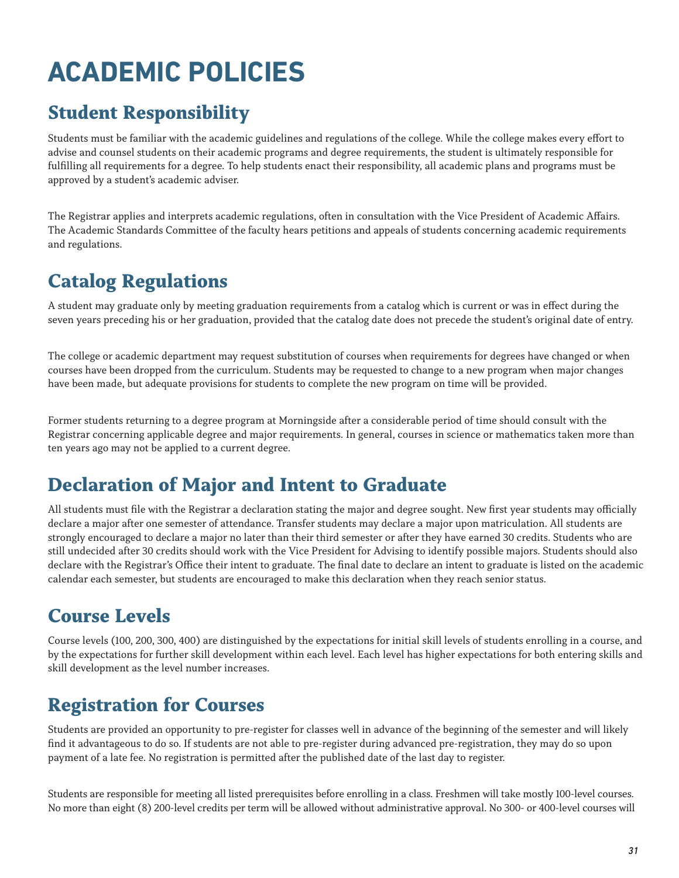# **ACADEMIC POLICIES**

# **Student Responsibility**

Students must be familiar with the academic guidelines and regulations of the college. While the college makes every effort to advise and counsel students on their academic programs and degree requirements, the student is ultimately responsible for fulfilling all requirements for a degree. To help students enact their responsibility, all academic plans and programs must be approved by a student's academic adviser.

The Registrar applies and interprets academic regulations, often in consultation with the Vice President of Academic Affairs. The Academic Standards Committee of the faculty hears petitions and appeals of students concerning academic requirements and regulations.

# **Catalog Regulations**

A student may graduate only by meeting graduation requirements from a catalog which is current or was in effect during the seven years preceding his or her graduation, provided that the catalog date does not precede the student's original date of entry.

The college or academic department may request substitution of courses when requirements for degrees have changed or when courses have been dropped from the curriculum. Students may be requested to change to a new program when major changes have been made, but adequate provisions for students to complete the new program on time will be provided.

Former students returning to a degree program at Morningside after a considerable period of time should consult with the Registrar concerning applicable degree and major requirements. In general, courses in science or mathematics taken more than ten years ago may not be applied to a current degree.

# **Declaration of Major and Intent to Graduate**

All students must file with the Registrar a declaration stating the major and degree sought. New first year students may officially declare a major after one semester of attendance. Transfer students may declare a major upon matriculation. All students are strongly encouraged to declare a major no later than their third semester or after they have earned 30 credits. Students who are still undecided after 30 credits should work with the Vice President for Advising to identify possible majors. Students should also declare with the Registrar's Office their intent to graduate. The final date to declare an intent to graduate is listed on the academic calendar each semester, but students are encouraged to make this declaration when they reach senior status.

# **Course Levels**

Course levels (100, 200, 300, 400) are distinguished by the expectations for initial skill levels of students enrolling in a course, and by the expectations for further skill development within each level. Each level has higher expectations for both entering skills and skill development as the level number increases.

# **Registration for Courses**

Students are provided an opportunity to pre-register for classes well in advance of the beginning of the semester and will likely find it advantageous to do so. If students are not able to pre-register during advanced pre-registration, they may do so upon payment of a late fee. No registration is permitted after the published date of the last day to register.

Students are responsible for meeting all listed prerequisites before enrolling in a class. Freshmen will take mostly 100-level courses. No more than eight (8) 200-level credits per term will be allowed without administrative approval. No 300- or 400-level courses will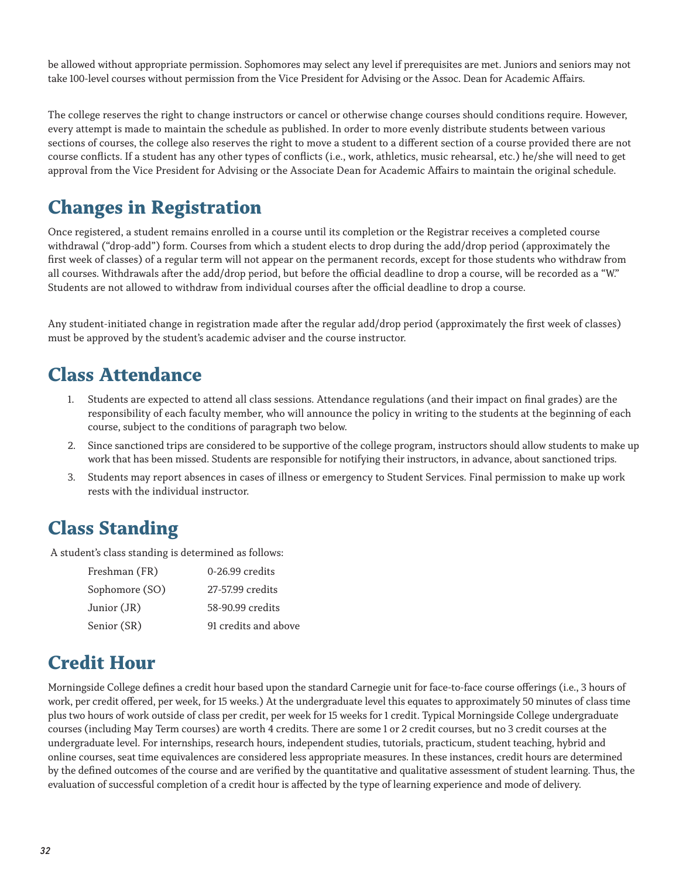be allowed without appropriate permission. Sophomores may select any level if prerequisites are met. Juniors and seniors may not take 100-level courses without permission from the Vice President for Advising or the Assoc. Dean for Academic Affairs.

The college reserves the right to change instructors or cancel or otherwise change courses should conditions require. However, every attempt is made to maintain the schedule as published. In order to more evenly distribute students between various sections of courses, the college also reserves the right to move a student to a different section of a course provided there are not course conflicts. If a student has any other types of conflicts (i.e., work, athletics, music rehearsal, etc.) he/she will need to get approval from the Vice President for Advising or the Associate Dean for Academic Affairs to maintain the original schedule.

### **Changes in Registration**

Once registered, a student remains enrolled in a course until its completion or the Registrar receives a completed course withdrawal ("drop-add") form. Courses from which a student elects to drop during the add/drop period (approximately the first week of classes) of a regular term will not appear on the permanent records, except for those students who withdraw from all courses. Withdrawals after the add/drop period, but before the official deadline to drop a course, will be recorded as a "W." Students are not allowed to withdraw from individual courses after the official deadline to drop a course.

Any student-initiated change in registration made after the regular add/drop period (approximately the first week of classes) must be approved by the student's academic adviser and the course instructor.

## **Class Attendance**

- 1. Students are expected to attend all class sessions. Attendance regulations (and their impact on final grades) are the responsibility of each faculty member, who will announce the policy in writing to the students at the beginning of each course, subject to the conditions of paragraph two below.
- 2. Since sanctioned trips are considered to be supportive of the college program, instructors should allow students to make up work that has been missed. Students are responsible for notifying their instructors, in advance, about sanctioned trips.
- 3. Students may report absences in cases of illness or emergency to Student Services. Final permission to make up work rests with the individual instructor.

### **Class Standing**

A student's class standing is determined as follows:

| Freshman (FR)  | 0-26.99 credits      |
|----------------|----------------------|
| Sophomore (SO) | 27-57.99 credits     |
| Junior (JR)    | 58-90.99 credits     |
| Senior (SR)    | 91 credits and above |

### **Credit Hour**

Morningside College defines a credit hour based upon the standard Carnegie unit for face-to-face course offerings (i.e., 3 hours of work, per credit offered, per week, for 15 weeks.) At the undergraduate level this equates to approximately 50 minutes of class time plus two hours of work outside of class per credit, per week for 15 weeks for 1 credit. Typical Morningside College undergraduate courses (including May Term courses) are worth 4 credits. There are some 1 or 2 credit courses, but no 3 credit courses at the undergraduate level. For internships, research hours, independent studies, tutorials, practicum, student teaching, hybrid and online courses, seat time equivalences are considered less appropriate measures. In these instances, credit hours are determined by the defined outcomes of the course and are verified by the quantitative and qualitative assessment of student learning. Thus, the evaluation of successful completion of a credit hour is affected by the type of learning experience and mode of delivery.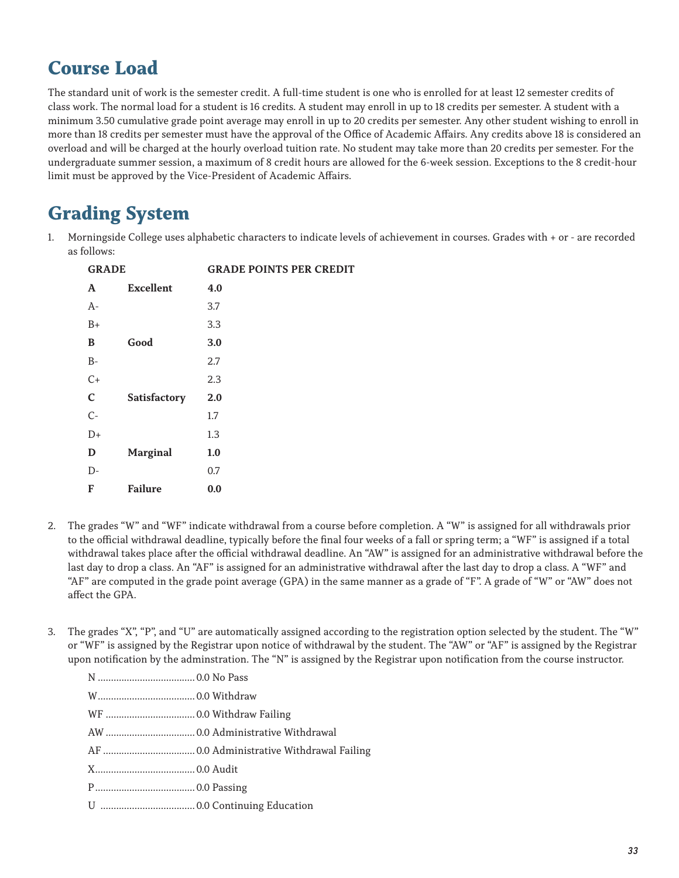# **Course Load**

The standard unit of work is the semester credit. A full-time student is one who is enrolled for at least 12 semester credits of class work. The normal load for a student is 16 credits. A student may enroll in up to 18 credits per semester. A student with a minimum 3.50 cumulative grade point average may enroll in up to 20 credits per semester. Any other student wishing to enroll in more than 18 credits per semester must have the approval of the Office of Academic Affairs. Any credits above 18 is considered an overload and will be charged at the hourly overload tuition rate. No student may take more than 20 credits per semester. For the undergraduate summer session, a maximum of 8 credit hours are allowed for the 6-week session. Exceptions to the 8 credit-hour limit must be approved by the Vice-President of Academic Affairs.

# **Grading System**

1. Morningside College uses alphabetic characters to indicate levels of achievement in courses. Grades with + or - are recorded as follows:

| <b>GRADE</b> |                  | <b>GRADE POINTS PER CREDIT</b> |
|--------------|------------------|--------------------------------|
| A            | <b>Excellent</b> | 4.0                            |
| $A-$         |                  | 3.7                            |
| $B+$         |                  | 3.3                            |
| B            | Good             | 3.0                            |
| $B -$        |                  | 2.7                            |
| $C+$         |                  | 2.3                            |
| $\mathbf C$  | Satisfactory     | 2.0                            |
| $C-$         |                  | 1.7                            |
| $D+$         |                  | 1.3                            |
| D            | <b>Marginal</b>  | 1.0                            |
| $D-$         |                  | 0.7                            |
| F            | <b>Failure</b>   | 0.0                            |

- 2. The grades "W" and "WF" indicate withdrawal from a course before completion. A "W" is assigned for all withdrawals prior to the official withdrawal deadline, typically before the final four weeks of a fall or spring term; a "WF" is assigned if a total withdrawal takes place after the official withdrawal deadline. An "AW" is assigned for an administrative withdrawal before the last day to drop a class. An "AF" is assigned for an administrative withdrawal after the last day to drop a class. A "WF" and "AF" are computed in the grade point average (GPA) in the same manner as a grade of "F". A grade of "W" or "AW" does not affect the GPA.
- 3. The grades "X", "P", and "U" are automatically assigned according to the registration option selected by the student. The "W" or "WF" is assigned by the Registrar upon notice of withdrawal by the student. The "AW" or "AF" is assigned by the Registrar upon notification by the adminstration. The "N" is assigned by the Registrar upon notification from the course instructor.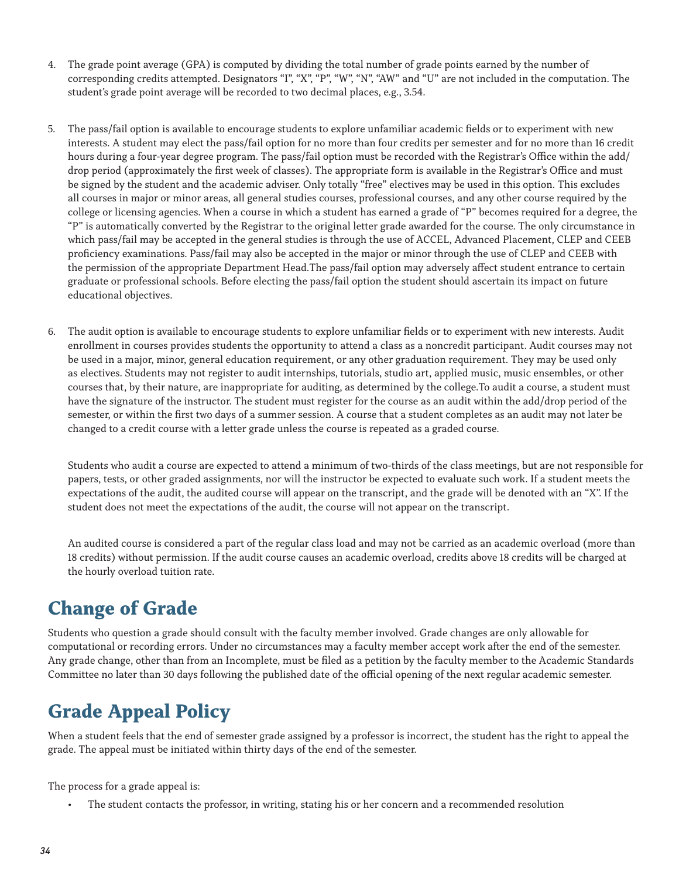- 4. The grade point average (GPA) is computed by dividing the total number of grade points earned by the number of corresponding credits attempted. Designators "I", "X", "P", "W", "N", "AW" and "U" are not included in the computation. The student's grade point average will be recorded to two decimal places, e.g., 3.54.
- 5. The pass/fail option is available to encourage students to explore unfamiliar academic fields or to experiment with new interests. A student may elect the pass/fail option for no more than four credits per semester and for no more than 16 credit hours during a four-year degree program. The pass/fail option must be recorded with the Registrar's Office within the add/ drop period (approximately the first week of classes). The appropriate form is available in the Registrar's Office and must be signed by the student and the academic adviser. Only totally "free" electives may be used in this option. This excludes all courses in major or minor areas, all general studies courses, professional courses, and any other course required by the college or licensing agencies. When a course in which a student has earned a grade of "P" becomes required for a degree, the "P" is automatically converted by the Registrar to the original letter grade awarded for the course. The only circumstance in which pass/fail may be accepted in the general studies is through the use of ACCEL, Advanced Placement, CLEP and CEEB proficiency examinations. Pass/fail may also be accepted in the major or minor through the use of CLEP and CEEB with the permission of the appropriate Department Head.The pass/fail option may adversely affect student entrance to certain graduate or professional schools. Before electing the pass/fail option the student should ascertain its impact on future educational objectives.
- 6. The audit option is available to encourage students to explore unfamiliar fields or to experiment with new interests. Audit enrollment in courses provides students the opportunity to attend a class as a noncredit participant. Audit courses may not be used in a major, minor, general education requirement, or any other graduation requirement. They may be used only as electives. Students may not register to audit internships, tutorials, studio art, applied music, music ensembles, or other courses that, by their nature, are inappropriate for auditing, as determined by the college.To audit a course, a student must have the signature of the instructor. The student must register for the course as an audit within the add/drop period of the semester, or within the first two days of a summer session. A course that a student completes as an audit may not later be changed to a credit course with a letter grade unless the course is repeated as a graded course.

Students who audit a course are expected to attend a minimum of two-thirds of the class meetings, but are not responsible for papers, tests, or other graded assignments, nor will the instructor be expected to evaluate such work. If a student meets the expectations of the audit, the audited course will appear on the transcript, and the grade will be denoted with an "X". If the student does not meet the expectations of the audit, the course will not appear on the transcript.

An audited course is considered a part of the regular class load and may not be carried as an academic overload (more than 18 credits) without permission. If the audit course causes an academic overload, credits above 18 credits will be charged at the hourly overload tuition rate.

# **Change of Grade**

Students who question a grade should consult with the faculty member involved. Grade changes are only allowable for computational or recording errors. Under no circumstances may a faculty member accept work after the end of the semester. Any grade change, other than from an Incomplete, must be filed as a petition by the faculty member to the Academic Standards Committee no later than 30 days following the published date of the official opening of the next regular academic semester.

# **Grade Appeal Policy**

When a student feels that the end of semester grade assigned by a professor is incorrect, the student has the right to appeal the grade. The appeal must be initiated within thirty days of the end of the semester.

The process for a grade appeal is:

The student contacts the professor, in writing, stating his or her concern and a recommended resolution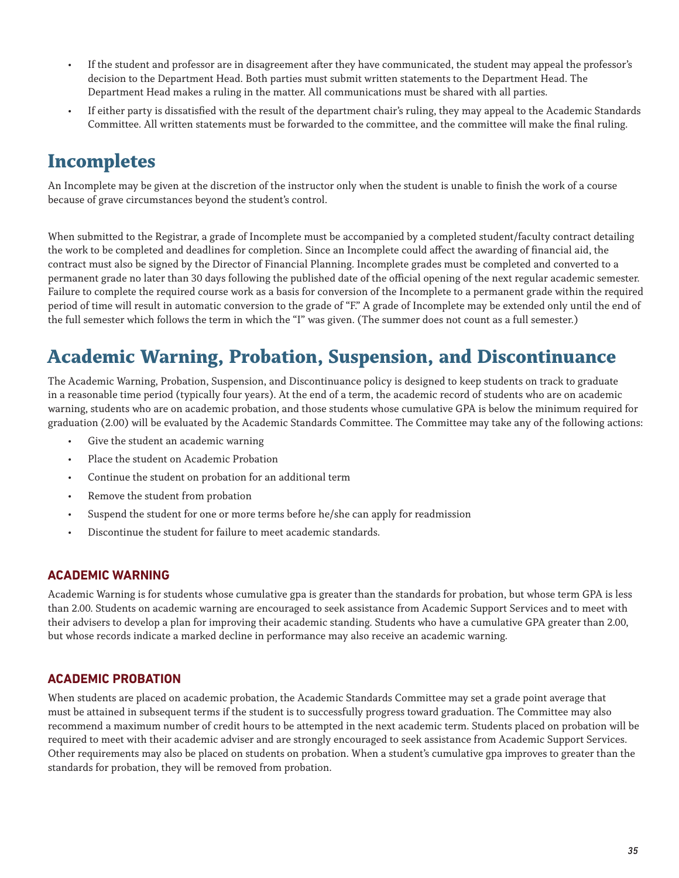- If the student and professor are in disagreement after they have communicated, the student may appeal the professor's decision to the Department Head. Both parties must submit written statements to the Department Head. The Department Head makes a ruling in the matter. All communications must be shared with all parties.
- If either party is dissatisfied with the result of the department chair's ruling, they may appeal to the Academic Standards Committee. All written statements must be forwarded to the committee, and the committee will make the final ruling.

# **Incompletes**

An Incomplete may be given at the discretion of the instructor only when the student is unable to finish the work of a course because of grave circumstances beyond the student's control.

When submitted to the Registrar, a grade of Incomplete must be accompanied by a completed student/faculty contract detailing the work to be completed and deadlines for completion. Since an Incomplete could affect the awarding of financial aid, the contract must also be signed by the Director of Financial Planning. Incomplete grades must be completed and converted to a permanent grade no later than 30 days following the published date of the official opening of the next regular academic semester. Failure to complete the required course work as a basis for conversion of the Incomplete to a permanent grade within the required period of time will result in automatic conversion to the grade of "F." A grade of Incomplete may be extended only until the end of the full semester which follows the term in which the "I" was given. (The summer does not count as a full semester.)

## **Academic Warning, Probation, Suspension, and Discontinuance**

The Academic Warning, Probation, Suspension, and Discontinuance policy is designed to keep students on track to graduate in a reasonable time period (typically four years). At the end of a term, the academic record of students who are on academic warning, students who are on academic probation, and those students whose cumulative GPA is below the minimum required for graduation (2.00) will be evaluated by the Academic Standards Committee. The Committee may take any of the following actions:

- Give the student an academic warning
- Place the student on Academic Probation
- Continue the student on probation for an additional term
- Remove the student from probation
- Suspend the student for one or more terms before he/she can apply for readmission
- Discontinue the student for failure to meet academic standards.

#### **ACADEMIC WARNING**

Academic Warning is for students whose cumulative gpa is greater than the standards for probation, but whose term GPA is less than 2.00. Students on academic warning are encouraged to seek assistance from Academic Support Services and to meet with their advisers to develop a plan for improving their academic standing. Students who have a cumulative GPA greater than 2.00, but whose records indicate a marked decline in performance may also receive an academic warning.

#### **ACADEMIC PROBATION**

When students are placed on academic probation, the Academic Standards Committee may set a grade point average that must be attained in subsequent terms if the student is to successfully progress toward graduation. The Committee may also recommend a maximum number of credit hours to be attempted in the next academic term. Students placed on probation will be required to meet with their academic adviser and are strongly encouraged to seek assistance from Academic Support Services. Other requirements may also be placed on students on probation. When a student's cumulative gpa improves to greater than the standards for probation, they will be removed from probation.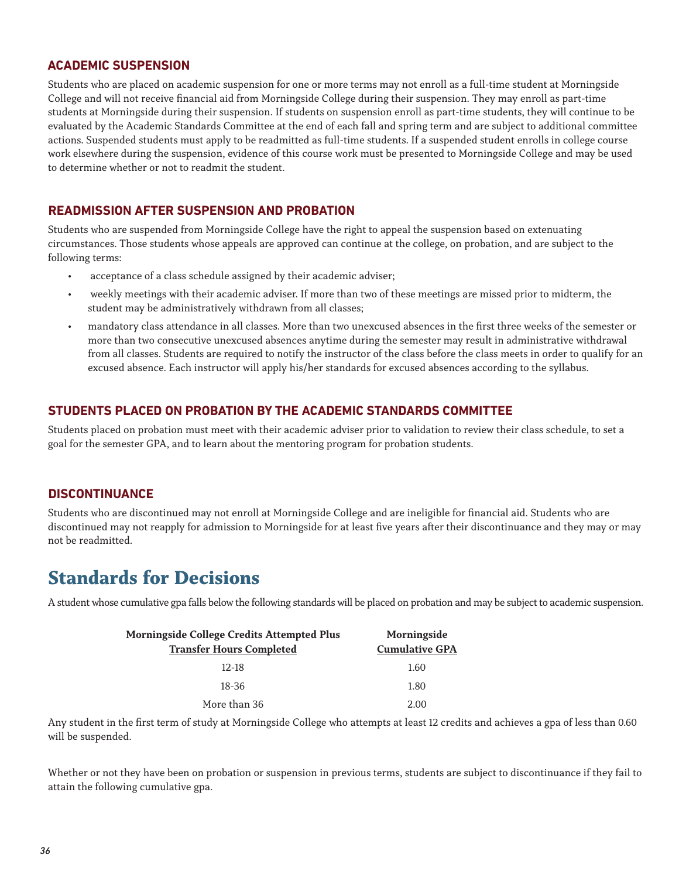#### **ACADEMIC SUSPENSION**

Students who are placed on academic suspension for one or more terms may not enroll as a full-time student at Morningside College and will not receive financial aid from Morningside College during their suspension. They may enroll as part-time students at Morningside during their suspension. If students on suspension enroll as part-time students, they will continue to be evaluated by the Academic Standards Committee at the end of each fall and spring term and are subject to additional committee actions. Suspended students must apply to be readmitted as full-time students. If a suspended student enrolls in college course work elsewhere during the suspension, evidence of this course work must be presented to Morningside College and may be used to determine whether or not to readmit the student.

#### **READMISSION AFTER SUSPENSION AND PROBATION**

Students who are suspended from Morningside College have the right to appeal the suspension based on extenuating circumstances. Those students whose appeals are approved can continue at the college, on probation, and are subject to the following terms:

- acceptance of a class schedule assigned by their academic adviser;
- weekly meetings with their academic adviser. If more than two of these meetings are missed prior to midterm, the student may be administratively withdrawn from all classes;
- mandatory class attendance in all classes. More than two unexcused absences in the first three weeks of the semester or more than two consecutive unexcused absences anytime during the semester may result in administrative withdrawal from all classes. Students are required to notify the instructor of the class before the class meets in order to qualify for an excused absence. Each instructor will apply his/her standards for excused absences according to the syllabus.

#### **STUDENTS PLACED ON PROBATION BY THE ACADEMIC STANDARDS COMMITTEE**

Students placed on probation must meet with their academic adviser prior to validation to review their class schedule, to set a goal for the semester GPA, and to learn about the mentoring program for probation students.

#### **DISCONTINUANCE**

Students who are discontinued may not enroll at Morningside College and are ineligible for financial aid. Students who are discontinued may not reapply for admission to Morningside for at least five years after their discontinuance and they may or may not be readmitted.

### **Standards for Decisions**

A student whose cumulative gpa falls below the following standards will be placed on probation and may be subject to academic suspension.

| <b>Morningside College Credits Attempted Plus</b> | Morningside           |  |
|---------------------------------------------------|-----------------------|--|
| <b>Transfer Hours Completed</b>                   | <b>Cumulative GPA</b> |  |
| $12-18$                                           | 1.60                  |  |
| 18-36                                             | 1.80                  |  |
| More than 36                                      | 2.00                  |  |

Any student in the first term of study at Morningside College who attempts at least 12 credits and achieves a gpa of less than 0.60 will be suspended.

Whether or not they have been on probation or suspension in previous terms, students are subject to discontinuance if they fail to attain the following cumulative gpa.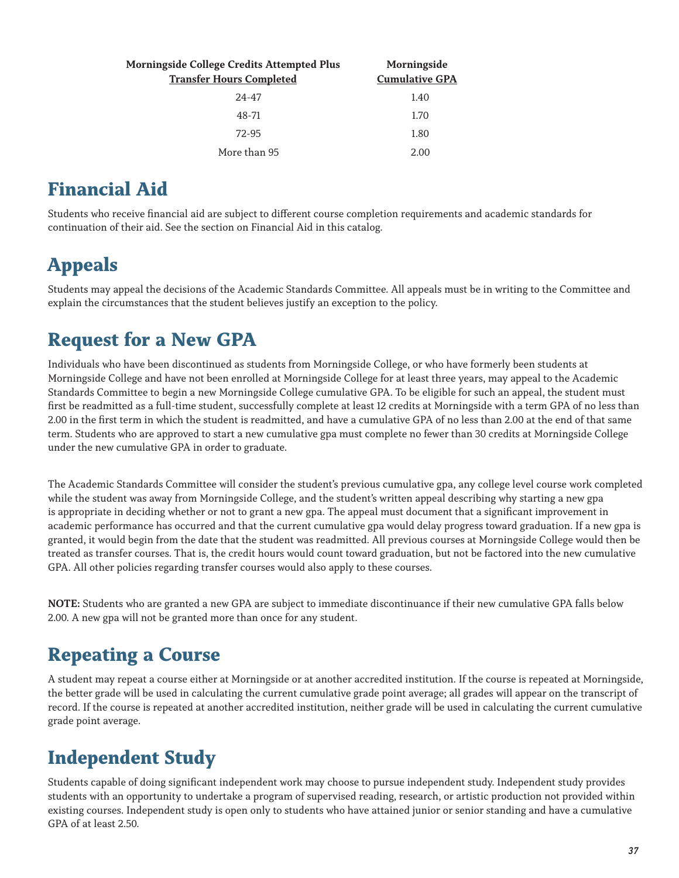| Morningside College Credits Attempted Plus<br><b>Transfer Hours Completed</b> | Morningside<br><b>Cumulative GPA</b> |
|-------------------------------------------------------------------------------|--------------------------------------|
| $24 - 47$                                                                     | 1.40                                 |
| 48-71                                                                         | 1.70                                 |
| 72-95                                                                         | 1.80                                 |
| More than 95                                                                  | 2.00                                 |

### **Financial Aid**

Students who receive financial aid are subject to different course completion requirements and academic standards for continuation of their aid. See the section on Financial Aid in this catalog.

## **Appeals**

Students may appeal the decisions of the Academic Standards Committee. All appeals must be in writing to the Committee and explain the circumstances that the student believes justify an exception to the policy.

### **Request for a New GPA**

Individuals who have been discontinued as students from Morningside College, or who have formerly been students at Morningside College and have not been enrolled at Morningside College for at least three years, may appeal to the Academic Standards Committee to begin a new Morningside College cumulative GPA. To be eligible for such an appeal, the student must first be readmitted as a full-time student, successfully complete at least 12 credits at Morningside with a term GPA of no less than 2.00 in the first term in which the student is readmitted, and have a cumulative GPA of no less than 2.00 at the end of that same term. Students who are approved to start a new cumulative gpa must complete no fewer than 30 credits at Morningside College under the new cumulative GPA in order to graduate.

The Academic Standards Committee will consider the student's previous cumulative gpa, any college level course work completed while the student was away from Morningside College, and the student's written appeal describing why starting a new gpa is appropriate in deciding whether or not to grant a new gpa. The appeal must document that a significant improvement in academic performance has occurred and that the current cumulative gpa would delay progress toward graduation. If a new gpa is granted, it would begin from the date that the student was readmitted. All previous courses at Morningside College would then be treated as transfer courses. That is, the credit hours would count toward graduation, but not be factored into the new cumulative GPA. All other policies regarding transfer courses would also apply to these courses.

**NOTE:** Students who are granted a new GPA are subject to immediate discontinuance if their new cumulative GPA falls below 2.00. A new gpa will not be granted more than once for any student.

### **Repeating a Course**

A student may repeat a course either at Morningside or at another accredited institution. If the course is repeated at Morningside, the better grade will be used in calculating the current cumulative grade point average; all grades will appear on the transcript of record. If the course is repeated at another accredited institution, neither grade will be used in calculating the current cumulative grade point average.

# **Independent Study**

Students capable of doing significant independent work may choose to pursue independent study. Independent study provides students with an opportunity to undertake a program of supervised reading, research, or artistic production not provided within existing courses. Independent study is open only to students who have attained junior or senior standing and have a cumulative GPA of at least 2.50.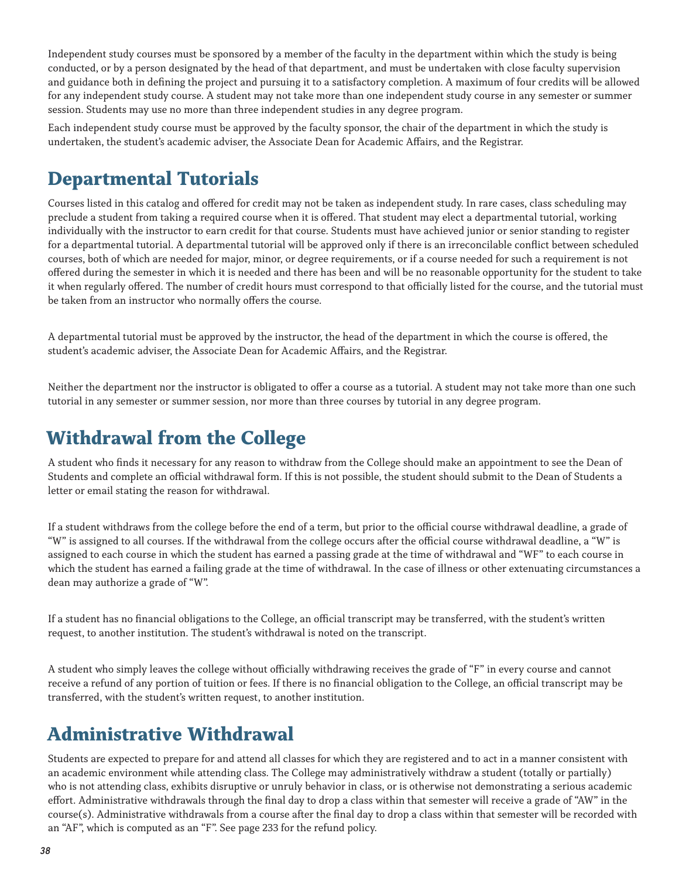Independent study courses must be sponsored by a member of the faculty in the department within which the study is being conducted, or by a person designated by the head of that department, and must be undertaken with close faculty supervision and guidance both in defining the project and pursuing it to a satisfactory completion. A maximum of four credits will be allowed for any independent study course. A student may not take more than one independent study course in any semester or summer session. Students may use no more than three independent studies in any degree program.

Each independent study course must be approved by the faculty sponsor, the chair of the department in which the study is undertaken, the student's academic adviser, the Associate Dean for Academic Affairs, and the Registrar.

# **Departmental Tutorials**

Courses listed in this catalog and offered for credit may not be taken as independent study. In rare cases, class scheduling may preclude a student from taking a required course when it is offered. That student may elect a departmental tutorial, working individually with the instructor to earn credit for that course. Students must have achieved junior or senior standing to register for a departmental tutorial. A departmental tutorial will be approved only if there is an irreconcilable conflict between scheduled courses, both of which are needed for major, minor, or degree requirements, or if a course needed for such a requirement is not offered during the semester in which it is needed and there has been and will be no reasonable opportunity for the student to take it when regularly offered. The number of credit hours must correspond to that officially listed for the course, and the tutorial must be taken from an instructor who normally offers the course.

A departmental tutorial must be approved by the instructor, the head of the department in which the course is offered, the student's academic adviser, the Associate Dean for Academic Affairs, and the Registrar.

Neither the department nor the instructor is obligated to offer a course as a tutorial. A student may not take more than one such tutorial in any semester or summer session, nor more than three courses by tutorial in any degree program.

### **Withdrawal from the College**

A student who finds it necessary for any reason to withdraw from the College should make an appointment to see the Dean of Students and complete an official withdrawal form. If this is not possible, the student should submit to the Dean of Students a letter or email stating the reason for withdrawal.

If a student withdraws from the college before the end of a term, but prior to the official course withdrawal deadline, a grade of "W" is assigned to all courses. If the withdrawal from the college occurs after the official course withdrawal deadline, a "W" is assigned to each course in which the student has earned a passing grade at the time of withdrawal and "WF" to each course in which the student has earned a failing grade at the time of withdrawal. In the case of illness or other extenuating circumstances a dean may authorize a grade of "W".

If a student has no financial obligations to the College, an official transcript may be transferred, with the student's written request, to another institution. The student's withdrawal is noted on the transcript.

A student who simply leaves the college without officially withdrawing receives the grade of "F" in every course and cannot receive a refund of any portion of tuition or fees. If there is no financial obligation to the College, an official transcript may be transferred, with the student's written request, to another institution.

### **Administrative Withdrawal**

Students are expected to prepare for and attend all classes for which they are registered and to act in a manner consistent with an academic environment while attending class. The College may administratively withdraw a student (totally or partially) who is not attending class, exhibits disruptive or unruly behavior in class, or is otherwise not demonstrating a serious academic effort. Administrative withdrawals through the final day to drop a class within that semester will receive a grade of "AW" in the course(s). Administrative withdrawals from a course after the final day to drop a class within that semester will be recorded with an "AF", which is computed as an "F". See page 233 for the refund policy.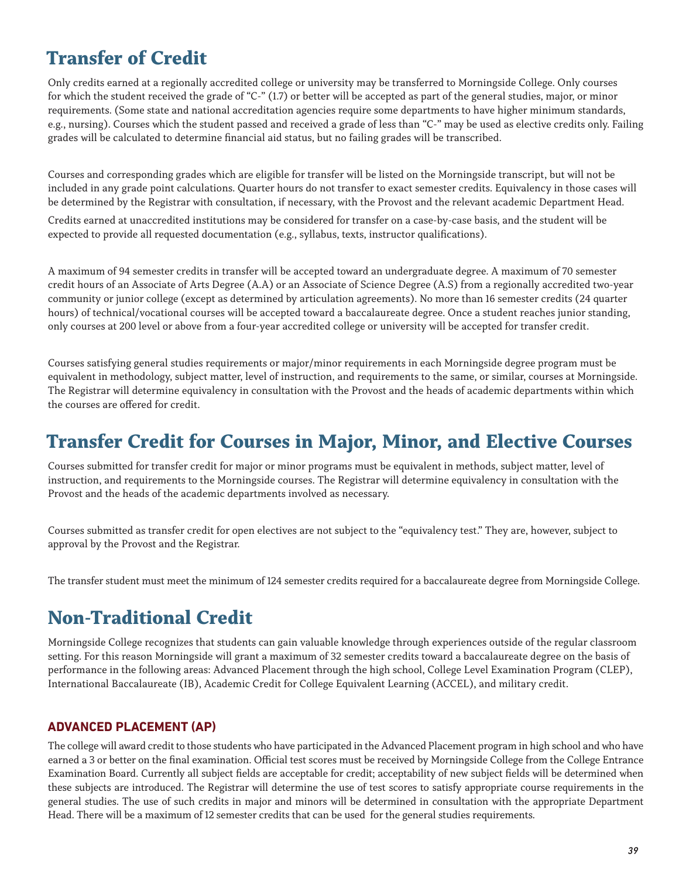# **Transfer of Credit**

Only credits earned at a regionally accredited college or university may be transferred to Morningside College. Only courses for which the student received the grade of "C-" (1.7) or better will be accepted as part of the general studies, major, or minor requirements. (Some state and national accreditation agencies require some departments to have higher minimum standards, e.g., nursing). Courses which the student passed and received a grade of less than "C-" may be used as elective credits only. Failing grades will be calculated to determine financial aid status, but no failing grades will be transcribed.

Courses and corresponding grades which are eligible for transfer will be listed on the Morningside transcript, but will not be included in any grade point calculations. Quarter hours do not transfer to exact semester credits. Equivalency in those cases will be determined by the Registrar with consultation, if necessary, with the Provost and the relevant academic Department Head.

Credits earned at unaccredited institutions may be considered for transfer on a case-by-case basis, and the student will be expected to provide all requested documentation (e.g., syllabus, texts, instructor qualifications).

A maximum of 94 semester credits in transfer will be accepted toward an undergraduate degree. A maximum of 70 semester credit hours of an Associate of Arts Degree (A.A) or an Associate of Science Degree (A.S) from a regionally accredited two-year community or junior college (except as determined by articulation agreements). No more than 16 semester credits (24 quarter hours) of technical/vocational courses will be accepted toward a baccalaureate degree. Once a student reaches junior standing, only courses at 200 level or above from a four-year accredited college or university will be accepted for transfer credit.

Courses satisfying general studies requirements or major/minor requirements in each Morningside degree program must be equivalent in methodology, subject matter, level of instruction, and requirements to the same, or similar, courses at Morningside. The Registrar will determine equivalency in consultation with the Provost and the heads of academic departments within which the courses are offered for credit.

### **Transfer Credit for Courses in Major, Minor, and Elective Courses**

Courses submitted for transfer credit for major or minor programs must be equivalent in methods, subject matter, level of instruction, and requirements to the Morningside courses. The Registrar will determine equivalency in consultation with the Provost and the heads of the academic departments involved as necessary.

Courses submitted as transfer credit for open electives are not subject to the "equivalency test." They are, however, subject to approval by the Provost and the Registrar.

The transfer student must meet the minimum of 124 semester credits required for a baccalaureate degree from Morningside College.

# **Non-Traditional Credit**

Morningside College recognizes that students can gain valuable knowledge through experiences outside of the regular classroom setting. For this reason Morningside will grant a maximum of 32 semester credits toward a baccalaureate degree on the basis of performance in the following areas: Advanced Placement through the high school, College Level Examination Program (CLEP), International Baccalaureate (IB), Academic Credit for College Equivalent Learning (ACCEL), and military credit.

### **ADVANCED PLACEMENT (AP)**

The college will award credit to those students who have participated in the Advanced Placement program in high school and who have earned a 3 or better on the final examination. Official test scores must be received by Morningside College from the College Entrance Examination Board. Currently all subject fields are acceptable for credit; acceptability of new subject fields will be determined when these subjects are introduced. The Registrar will determine the use of test scores to satisfy appropriate course requirements in the general studies. The use of such credits in major and minors will be determined in consultation with the appropriate Department Head. There will be a maximum of 12 semester credits that can be used for the general studies requirements.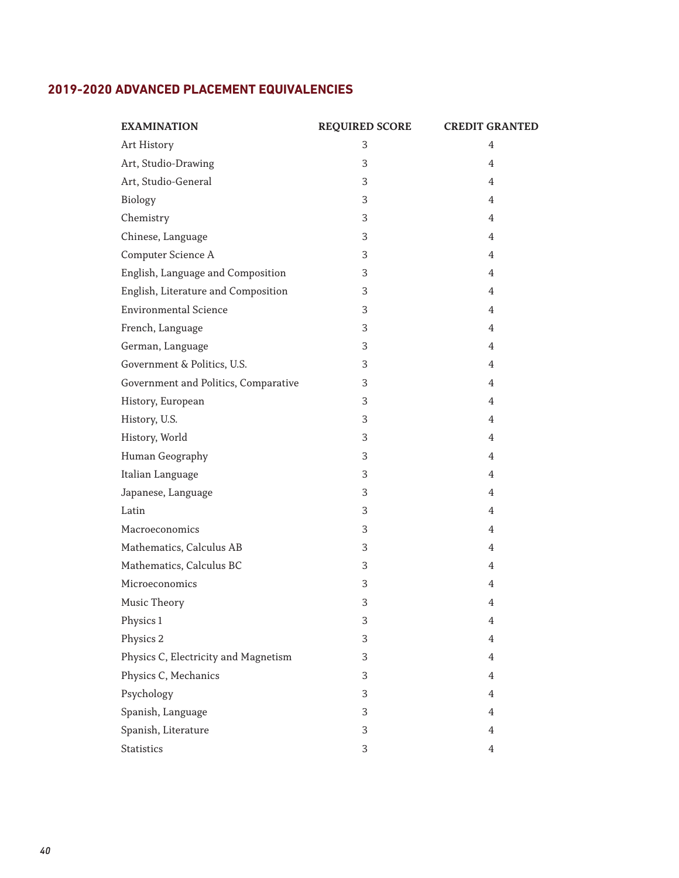### **2019-2020 ADVANCED PLACEMENT EQUIVALENCIES**

| <b>EXAMINATION</b>                   | <b>REQUIRED SCORE</b> | <b>CREDIT GRANTED</b> |
|--------------------------------------|-----------------------|-----------------------|
| Art History                          | 3                     | 4                     |
| Art, Studio-Drawing                  | 3                     | 4                     |
| Art, Studio-General                  | 3                     | 4                     |
| Biology                              | 3                     | 4                     |
| Chemistry                            | 3                     | 4                     |
| Chinese, Language                    | 3                     | 4                     |
| Computer Science A                   | 3                     | 4                     |
| English, Language and Composition    | 3                     | 4                     |
| English, Literature and Composition  | 3                     | $\overline{4}$        |
| <b>Environmental Science</b>         | 3                     | 4                     |
| French, Language                     | 3                     | 4                     |
| German, Language                     | 3                     | $\overline{4}$        |
| Government & Politics, U.S.          | 3                     | 4                     |
| Government and Politics, Comparative | 3                     | 4                     |
| History, European                    | 3                     | 4                     |
| History, U.S.                        | 3                     | 4                     |
| History, World                       | 3                     | 4                     |
| Human Geography                      | 3                     | 4                     |
| Italian Language                     | 3                     | 4                     |
| Japanese, Language                   | 3                     | $\overline{4}$        |
| Latin                                | 3                     | 4                     |
| Macroeconomics                       | 3                     | 4                     |
| Mathematics, Calculus AB             | 3                     | 4                     |
| Mathematics, Calculus BC             | 3                     | 4                     |
| Microeconomics                       | 3                     | 4                     |
| Music Theory                         | 3                     | 4                     |
| Physics 1                            | 3                     | $\overline{4}$        |
| Physics 2                            | 3                     | $\overline{4}$        |
| Physics C, Electricity and Magnetism | 3                     | $\overline{4}$        |
| Physics C, Mechanics                 | 3                     | $\overline{4}$        |
| Psychology                           | 3                     | $\overline{4}$        |
| Spanish, Language                    | 3                     | $\overline{4}$        |
| Spanish, Literature                  | 3                     | $\overline{4}$        |
| Statistics                           | 3                     | $\overline{4}$        |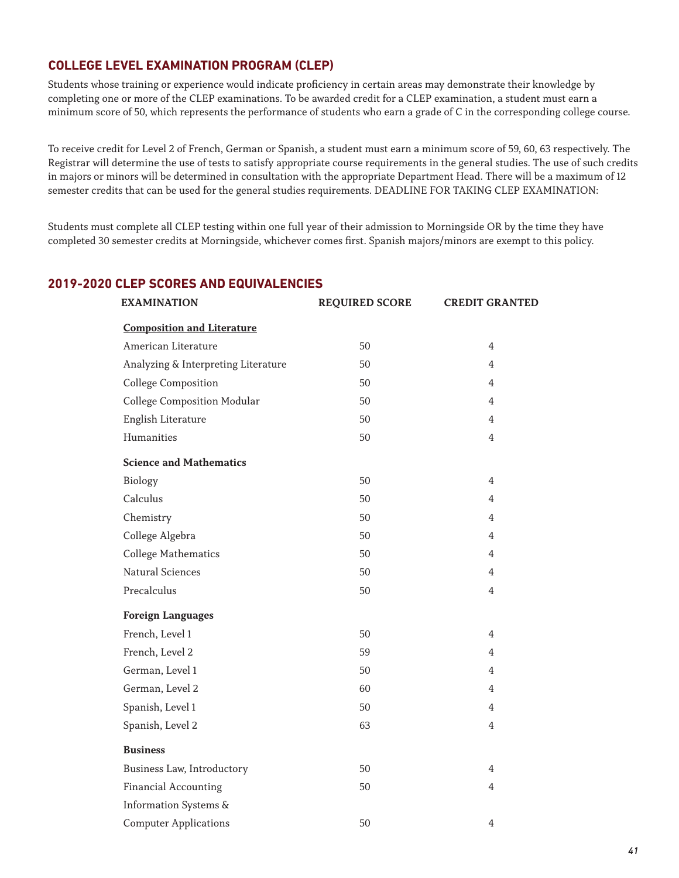#### **COLLEGE LEVEL EXAMINATION PROGRAM (CLEP)**

Students whose training or experience would indicate proficiency in certain areas may demonstrate their knowledge by completing one or more of the CLEP examinations. To be awarded credit for a CLEP examination, a student must earn a minimum score of 50, which represents the performance of students who earn a grade of C in the corresponding college course.

To receive credit for Level 2 of French, German or Spanish, a student must earn a minimum score of 59, 60, 63 respectively. The Registrar will determine the use of tests to satisfy appropriate course requirements in the general studies. The use of such credits in majors or minors will be determined in consultation with the appropriate Department Head. There will be a maximum of 12 semester credits that can be used for the general studies requirements. DEADLINE FOR TAKING CLEP EXAMINATION:

Students must complete all CLEP testing within one full year of their admission to Morningside OR by the time they have completed 30 semester credits at Morningside, whichever comes first. Spanish majors/minors are exempt to this policy.

### **EXAMINATION REQUIRED SCORE CREDIT GRANTED Composition and Literature** American Literature 50 4 Analyzing & Interpreting Literature 50 50 4 College Composition 50 4 College Composition Modular 50 50 4 English Literature 50 50 4 Humanities 50 4 **Science and Mathematics** Biology 50 4 Calculus 50 4 Chemistry 50 50 4 College Algebra 50 50 College Mathematics 4 Natural Sciences 50 4 Precalculus 50 4 **Foreign Languages** French, Level 1 50 50 4 French, Level 2 59 59 4 German, Level 1 50 50 4 German, Level 2 60 4 Spanish, Level 1 50 50 4 Spanish, Level 2 63 4 **Business** Business Law, Introductory 50 50 4 Financial Accounting 50 50 4 Information Systems &

Computer Applications 4

#### **2019-2020 CLEP SCORES AND EQUIVALENCIES**